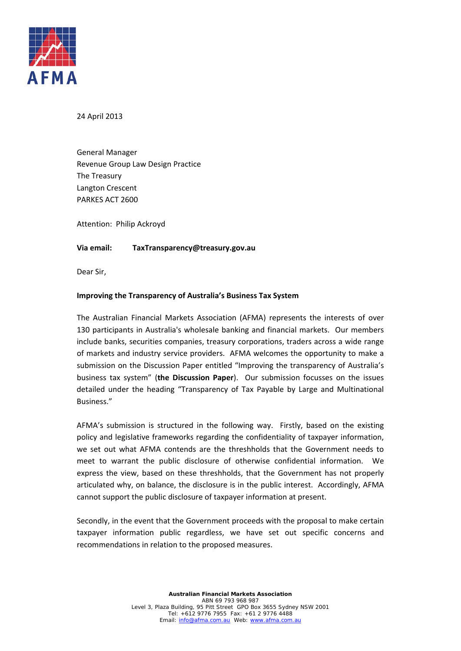

24 April 2013

 General Manager Revenue Group Law Design Practice The Treasury Langton Crescent PARKES ACT 2600

Attention: Philip Ackroyd

#### **Via email: Via email: TaxTransparency@treasury.gov.au**

Dear Sir,

## **Improving the Transparency of Australia's Business Tax System**

 The Australian Financial Markets Association (AFMA) represents the interests of over 130 participants in Australia's wholesale banking and financial markets. Our members include banks, securities companies, treasury corporations, traders across a wide range of markets and industry service providers. AFMA welcomes the opportunity to make a submission on the Discussion Paper entitled "Improving the transparency of Australia's  business tax system" (**the Discussion Paper**). Our submission focusses on the issues detailed under the heading "Transparency of Tax Payable by Large and Multinational Business."

 AFMA's submission is structured in the following way. Firstly, based on the existing policy and legislative frameworks regarding the confidentiality of taxpayer information, we set out what AFMA contends are the threshholds that the Government needs to meet to warrant the public disclosure of otherwise confidential information. We express the view, based on these threshholds, that the Government has not properly articulated why, on balance, the disclosure is in the public interest. Accordingly, AFMA cannot support the public disclosure of taxpayer information at present.

 Secondly, in the event that the Government proceeds with the proposal to make certain taxpayer information public regardless, we have set out specific concerns and recommendations in relation to the proposed measures.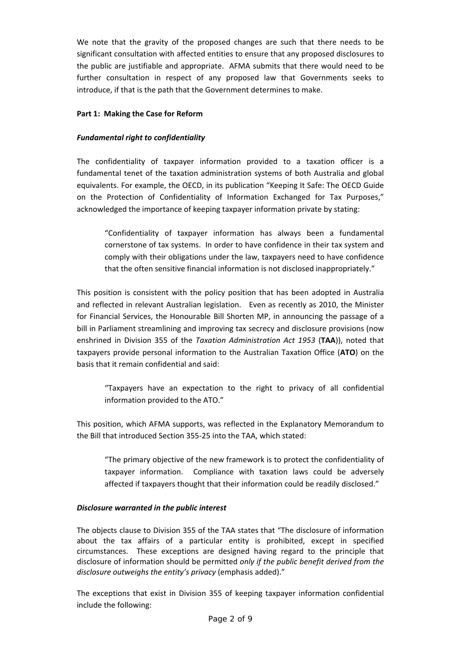We note that the gravity of the proposed changes are such that there needs to be significant consultation with affected entities to ensure that any proposed disclosures to the public are justifiable and appropriate. AFMA submits that there would need to be further consultation in respect of any proposed law that Governments seeks to introduce, if that is the path that the Government determines to make.

### **Part 1: Making the Case for Reform**

# *Fundamental right to confidentiality*

 The confidentiality of taxpayer information provided to a taxation officer is a fundamental tenet of the taxation administration systems of both Australia and global equivalents. For example, the OECD, in its publication "Keeping It Safe: The OECD Guide on the Protection of Confidentiality of Information Exchanged for Tax Purposes," acknowledged the importance of keeping taxpayer information private by stating:

 "Confidentiality of taxpayer information has always been a fundamental cornerstone of tax systems. In order to have confidence in their tax system and comply with their obligations under the law, taxpayers need to have confidence that the often sensitive financial information is not disclosed inappropriately."

 This position is consistent with the policy position that has been adopted in Australia and reflected in relevant Australian legislation. Even as recently as 2010, the Minister for Financial Services, the Honourable Bill Shorten MP, in announcing the passage of a bill in Parliament streamlining and improving tax secrecy and disclosure provisions (now  enshrined in Division 355 of the *Taxation Administration Act 1953* (**TAA**)), noted that taxpayers provide personal information to the Australian Taxation Office (**ATO**) on the basis that it remain confidential and said:

 "Taxpayers have an expectation to the right to privacy of all confidential information provided to the ATO."

 This position, which AFMA supports, was reflected in the Explanatory Memorandum to the Bill that introduced Section 355‐25 into the TAA, which stated:

 "The primary objective of the new framework is to protect the confidentiality of taxpayer information. Compliance with taxation laws could be adversely affected if taxpayers thought that their information could be readily disclosed."

#### *Disclosure warranted in the public interest*

 The objects clause to Division 355 of the TAA states that "The disclosure of information about the tax affairs of a particular entity is prohibited, except in specified circumstances. These exceptions are designed having regard to the principle that  disclosure of information should be permitted *only if the public benefit derived from the disclosure outweighs the entity's privacy* (emphasis added)."

 The exceptions that exist in Division 355 of keeping taxpayer information confidential include the following: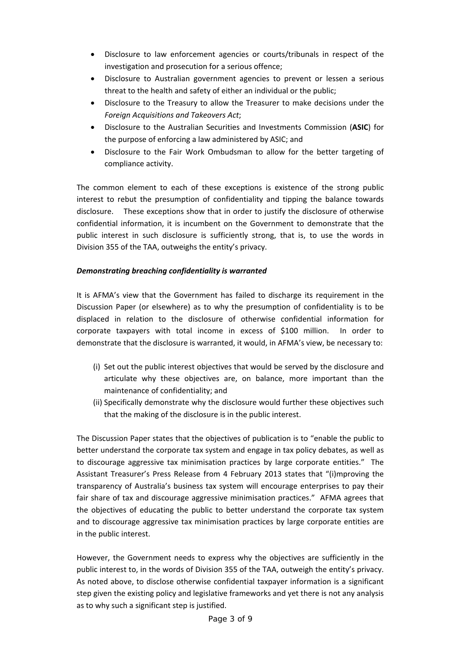- Disclosure to law enforcement agencies or courts/tribunals in respect of the investigation and prosecution for a serious offence;
- Disclosure to Australian government agencies to prevent or lessen a serious threat to the health and safety of either an individual or the public;
- Disclosure to the Treasury to allow the Treasurer to make decisions under the  *Foreign Acquisitions and Takeovers Act*;
- Disclosure to the Australian Securities and Investments Commission (**ASIC**) for the purpose of enforcing a law administered by ASIC; and
- Disclosure to the Fair Work Ombudsman to allow for the better targeting of compliance activity.

 The common element to each of these exceptions is existence of the strong public interest to rebut the presumption of confidentiality and tipping the balance towards disclosure. These exceptions show that in order to justify the disclosure of otherwise confidential information, it is incumbent on the Government to demonstrate that the public interest in such disclosure is sufficiently strong, that is, to use the words in Division 355 of the TAA, outweighs the entity's privacy.

# *Demonstrating breaching confidentiality is warranted*

 It is AFMA's view that the Government has failed to discharge its requirement in the Discussion Paper (or elsewhere) as to why the presumption of confidentiality is to be displaced in relation to the disclosure of otherwise confidential information for corporate taxpayers with total income in excess of \$100 million. In order to demonstrate that the disclosure is warranted, it would, in AFMA's view, be necessary to:

- (i) Set out the public interest objectives that would be served by the disclosure and articulate why these objectives are, on balance, more important than the maintenance of confidentiality; and
- (ii) Specifically demonstrate why the disclosure would further these objectives such that the making of the disclosure is in the public interest.

 The Discussion Paper states that the objectives of publication is to "enable the public to better understand the corporate tax system and engage in tax policy debates, as well as to discourage aggressive tax minimisation practices by large corporate entities." The Assistant Treasurer's Press Release from 4 February 2013 states that "(i)mproving the transparency of Australia's business tax system will encourage enterprises to pay their fair share of tax and discourage aggressive minimisation practices." AFMA agrees that the objectives of educating the public to better understand the corporate tax system and to discourage aggressive tax minimisation practices by large corporate entities are in the public interest.

 However, the Government needs to express why the objectives are sufficiently in the public interest to, in the words of Division 355 of the TAA, outweigh the entity's privacy. As noted above, to disclose otherwise confidential taxpayer information is a significant step given the existing policy and legislative frameworks and yet there is not any analysis as to why such a significant step is justified.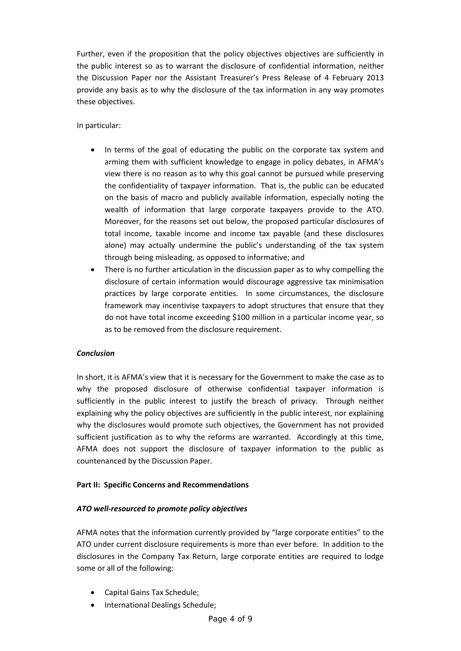Further, even if the proposition that the policy objectives objectives are sufficiently in the public interest so as to warrant the disclosure of confidential information, neither the Discussion Paper nor the Assistant Treasurer's Press Release of 4 February 2013 provide any basis as to why the disclosure of the tax information in any way promotes these objectives.

# In particular:

- In terms of the goal of educating the public on the corporate tax system and arming them with sufficient knowledge to engage in policy debates, in AFMA's view there is no reason as to why this goal cannot be pursued while preserving the confidentiality of taxpayer information. That is, the public can be educated on the basis of macro and publicly available information, especially noting the wealth of information that large corporate taxpayers provide to the ATO. Moreover, for the reasons set out below, the proposed particular disclosures of total income, taxable income and income tax payable (and these disclosures alone) may actually undermine the public's understanding of the tax system through being misleading, as opposed to informative; and
- There is no further articulation in the discussion paper as to why compelling the disclosure of certain information would discourage aggressive tax minimisation practices by large corporate entities. In some circumstances, the disclosure framework may incentivise taxpayers to adopt structures that ensure that they do not have total income exceeding \$100 million in a particular income year, so as to be removed from the disclosure requirement.

#### *Conclusion*

 In short, it is AFMA's view that it is necessary for the Government to make the case as to why the proposed disclosure of otherwise confidential taxpayer information is sufficiently in the public interest to justify the breach of privacy. Through neither explaining why the policy objectives are sufficiently in the public interest, nor explaining why the disclosures would promote such objectives, the Government has not provided sufficient justification as to why the reforms are warranted. Accordingly at this time, AFMA does not support the disclosure of taxpayer information to the public as countenanced by the Discussion Paper.

# **Part II: Specific Concerns and Recommendations**

## *ATO well‐resourced to promote policy objectives*

 AFMA notes that the information currently provided by "large corporate entities" to the ATO under current disclosure requirements is more than ever before. In addition to the disclosures in the Company Tax Return, large corporate entities are required to lodge some or all of the following:

- Capital Gains Tax Schedule;
- **•** International Dealings Schedule;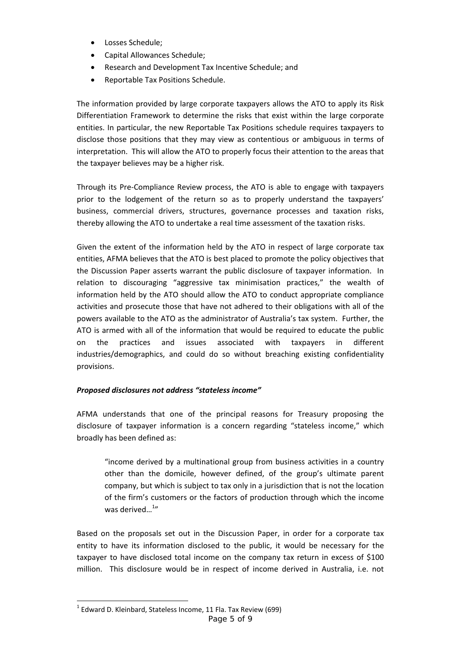- Losses Schedule;
- Capital Allowances Schedule;
- Research and Development Tax Incentive Schedule; and
- Reportable Tax Positions Schedule.

 The information provided by large corporate taxpayers allows the ATO to apply its Risk Differentiation Framework to determine the risks that exist within the large corporate entities. In particular, the new Reportable Tax Positions schedule requires taxpayers to disclose those positions that they may view as contentious or ambiguous in terms of interpretation. This will allow the ATO to properly focus their attention to the areas that the taxpayer believes may be a higher risk.

 Through its Pre‐Compliance Review process, the ATO is able to engage with taxpayers prior to the lodgement of the return so as to properly understand the taxpayers' business, commercial drivers, structures, governance processes and taxation risks, thereby allowing the ATO to undertake a real time assessment of the taxation risks.

 Given the extent of the information held by the ATO in respect of large corporate tax entities, AFMA believes that the ATO is best placed to promote the policy objectives that the Discussion Paper asserts warrant the public disclosure of taxpayer information. In relation to discouraging "aggressive tax minimisation practices," the wealth of information held by the ATO should allow the ATO to conduct appropriate compliance activities and prosecute those that have not adhered to their obligations with all of the powers available to the ATO as the administrator of Australia's tax system. Further, the ATO is armed with all of the information that would be required to educate the public on the practices and issues associated with taxpayers in different industries/demographics, and could do so without breaching existing confidentiality provisions.

# *Proposed disclosures not address "stateless income"*

 AFMA understands that one of the principal reasons for Treasury proposing the disclosure of taxpayer information is a concern regarding "stateless income," which broadly has been defined as:

 "income derived by a multinational group from business activities in a country other than the domicile, however defined, of the group's ultimate parent company, but which is subject to tax only in a jurisdiction that is not the location of the firm's customers or the factors of production through which the income was derived...<sup>1</sup>"

 Based on the proposals set out in the Discussion Paper, in order for a corporate tax entity to have its information disclosed to the public, it would be necessary for the taxpayer to have disclosed total income on the company tax return in excess of \$100 million. This disclosure would be in respect of income derived in Australia, i.e. not

<sup>-</sup> $^{1}$  Edward D. Kleinbard, Stateless Income, 11 Fla. Tax Review (699) Page 5 of 9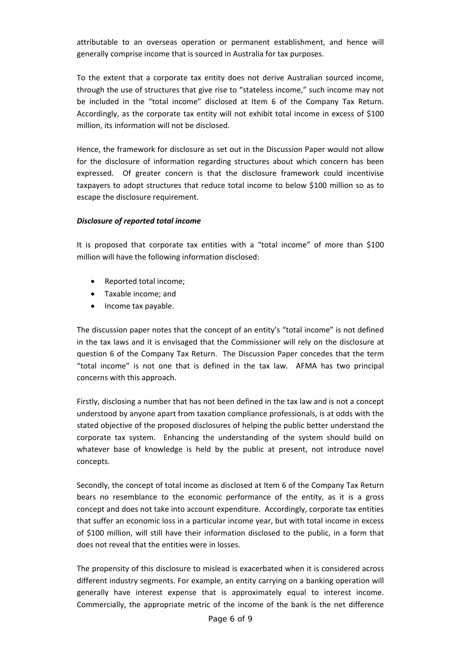attributable to an overseas operation or permanent establishment, and hence will generally comprise income that is sourced in Australia for tax purposes.

 To the extent that a corporate tax entity does not derive Australian sourced income, through the use of structures that give rise to "stateless income," such income may not be included in the "total income" disclosed at Item 6 of the Company Tax Return. Accordingly, as the corporate tax entity will not exhibit total income in excess of \$100 million, its information will not be disclosed.

 Hence, the framework for disclosure as set out in the Discussion Paper would not allow for the disclosure of information regarding structures about which concern has been expressed. Of greater concern is that the disclosure framework could incentivise taxpayers to adopt structures that reduce total income to below \$100 million so as to escape the disclosure requirement.

# *Disclosure of reported total income*

 It is proposed that corporate tax entities with a "total income" of more than \$100 million will have the following information disclosed:

- Reported total income;
- Taxable income; and
- Income tax payable.

 The discussion paper notes that the concept of an entity's "total income" is not defined in the tax laws and it is envisaged that the Commissioner will rely on the disclosure at question 6 of the Company Tax Return. The Discussion Paper concedes that the term "total income" is not one that is defined in the tax law. AFMA has two principal concerns with this approach.

 Firstly, disclosing a number that has not been defined in the tax law and is not a concept understood by anyone apart from taxation compliance professionals, is at odds with the stated objective of the proposed disclosures of helping the public better understand the corporate tax system. Enhancing the understanding of the system should build on whatever base of knowledge is held by the public at present, not introduce novel concepts.

 Secondly, the concept of total income as disclosed at Item 6 of the Company Tax Return bears no resemblance to the economic performance of the entity, as it is a gross concept and does not take into account expenditure. Accordingly, corporate tax entities that suffer an economic loss in a particular income year, but with total income in excess of \$100 million, will still have their information disclosed to the public, in a form that does not reveal that the entities were in losses.

 The propensity of this disclosure to mislead is exacerbated when it is considered across different industry segments. For example, an entity carrying on a banking operation will generally have interest expense that is approximately equal to interest income. Commercially, the appropriate metric of the income of the bank is the net difference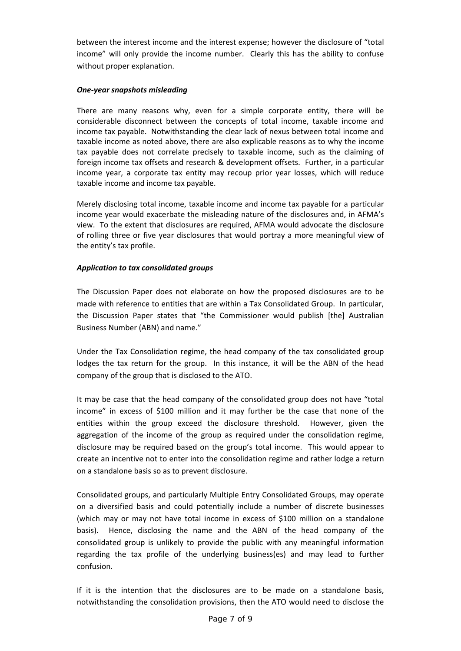between the interest income and the interest expense; however the disclosure of "total income" will only provide the income number. Clearly this has the ability to confuse without proper explanation.

## *One‐year snapshots misleading*

 There are many reasons why, even for a simple corporate entity, there will be considerable disconnect between the concepts of total income, taxable income and income tax payable. Notwithstanding the clear lack of nexus between total income and taxable income as noted above, there are also explicable reasons as to why the income tax payable does not correlate precisely to taxable income, such as the claiming of foreign income tax offsets and research & development offsets. Further, in a particular income year, a corporate tax entity may recoup prior year losses, which will reduce taxable income and income tax payable.

 Merely disclosing total income, taxable income and income tax payable for a particular income year would exacerbate the misleading nature of the disclosures and, in AFMA's view. To the extent that disclosures are required, AFMA would advocate the disclosure of rolling three or five year disclosures that would portray a more meaningful view of the entity's tax profile.

## *Application to tax consolidated groups*

 The Discussion Paper does not elaborate on how the proposed disclosures are to be made with reference to entities that are within a Tax Consolidated Group. In particular, the Discussion Paper states that "the Commissioner would publish [the] Australian Business Number (ABN) and name."

 Under the Tax Consolidation regime, the head company of the tax consolidated group lodges the tax return for the group. In this instance, it will be the ABN of the head company of the group that is disclosed to the ATO.

 It may be case that the head company of the consolidated group does not have "total income" in excess of \$100 million and it may further be the case that none of the entities within the group exceed the disclosure threshold. However, given the aggregation of the income of the group as required under the consolidation regime, disclosure may be required based on the group's total income. This would appear to create an incentive not to enter into the consolidation regime and rather lodge a return on a standalone basis so as to prevent disclosure.

 Consolidated groups, and particularly Multiple Entry Consolidated Groups, may operate on a diversified basis and could potentially include a number of discrete businesses (which may or may not have total income in excess of \$100 million on a standalone basis). Hence, disclosing the name and the ABN of the head company of the consolidated group is unlikely to provide the public with any meaningful information regarding the tax profile of the underlying business(es) and may lead to further confusion.

 If it is the intention that the disclosures are to be made on a standalone basis, notwithstanding the consolidation provisions, then the ATO would need to disclose the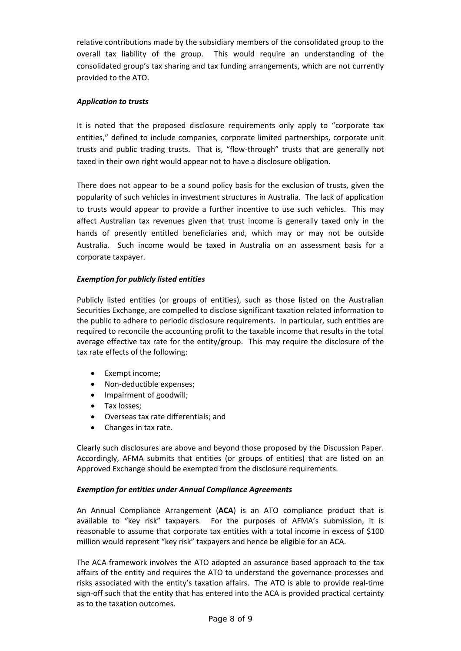relative contributions made by the subsidiary members of the consolidated group to the overall tax liability of the group. This would require an understanding of the consolidated group's tax sharing and tax funding arrangements, which are not currently provided to the ATO.

## *Application to trusts*

 It is noted that the proposed disclosure requirements only apply to "corporate tax entities," defined to include companies, corporate limited partnerships, corporate unit trusts and public trading trusts. That is, "flow‐through" trusts that are generally not taxed in their own right would appear not to have a disclosure obligation.

 There does not appear to be a sound policy basis for the exclusion of trusts, given the popularity of such vehicles in investment structures in Australia. The lack of application to trusts would appear to provide a further incentive to use such vehicles. This may affect Australian tax revenues given that trust income is generally taxed only in the hands of presently entitled beneficiaries and, which may or may not be outside Australia. Such income would be taxed in Australia on an assessment basis for a corporate taxpayer.

### *Exemption for publicly listed entities*

 Publicly listed entities (or groups of entities), such as those listed on the Australian Securities Exchange, are compelled to disclose significant taxation related information to the public to adhere to periodic disclosure requirements. In particular, such entities are required to reconcile the accounting profit to the taxable income that results in the total average effective tax rate for the entity/group. This may require the disclosure of the tax rate effects of the following:

- Exempt income;
- Non‐deductible expenses;
- Impairment of goodwill;
- Tax losses;
- Overseas tax rate differentials; and
- Changes in tax rate.

 Clearly such disclosures are above and beyond those proposed by the Discussion Paper. Accordingly, AFMA submits that entities (or groups of entities) that are listed on an Approved Exchange should be exempted from the disclosure requirements.

# *Exemption for entities under Annual Compliance Agreements*

 An Annual Compliance Arrangement (**ACA**) is an ATO compliance product that is available to "key risk" taxpayers. For the purposes of AFMA's submission, it is reasonable to assume that corporate tax entities with a total income in excess of \$100 million would represent "key risk" taxpayers and hence be eligible for an ACA.

 The ACA framework involves the ATO adopted an assurance based approach to the tax affairs of the entity and requires the ATO to understand the governance processes and risks associated with the entity's taxation affairs. The ATO is able to provide real‐time sign‐off such that the entity that has entered into the ACA is provided practical certainty as to the taxation outcomes.